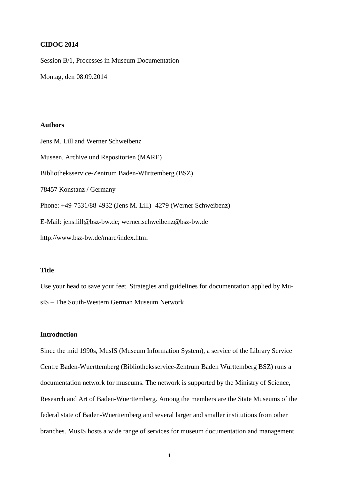## **CIDOC 2014**

Session B/1, Processes in Museum Documentation

Montag, den 08.09.2014

# **Authors**

Jens M. Lill and Werner Schweibenz Museen, Archive und Repositorien (MARE) Bibliotheksservice-Zentrum Baden-Württemberg (BSZ) 78457 Konstanz / Germany Phone: +49-7531/88-4932 (Jens M. Lill) -4279 (Werner Schweibenz) E-Mail: jens.lill@bsz-bw.de; werner.schweibenz@bsz-bw.de http://www.bsz-bw.de/mare/index.html

# **Title**

Use your head to save your feet. Strategies and guidelines for documentation applied by MusIS – The South-Western German Museum Network

# **Introduction**

Since the mid 1990s, MusIS (Museum Information System), a service of the Library Service Centre Baden-Wuerttemberg (Bibliotheksservice-Zentrum Baden Württemberg BSZ) runs a documentation network for museums. The network is supported by the Ministry of Science, Research and Art of Baden-Wuerttemberg. Among the members are the State Museums of the federal state of Baden-Wuerttemberg and several larger and smaller institutions from other branches. MusIS hosts a wide range of services for museum documentation and management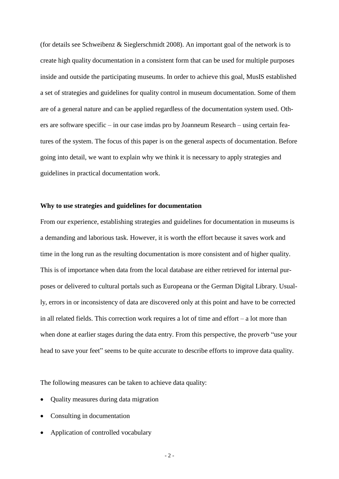(for details see Schweibenz & Sieglerschmidt 2008). An important goal of the network is to create high quality documentation in a consistent form that can be used for multiple purposes inside and outside the participating museums. In order to achieve this goal, MusIS established a set of strategies and guidelines for quality control in museum documentation. Some of them are of a general nature and can be applied regardless of the documentation system used. Others are software specific – in our case imdas pro by Joanneum Research – using certain features of the system. The focus of this paper is on the general aspects of documentation. Before going into detail, we want to explain why we think it is necessary to apply strategies and guidelines in practical documentation work.

## **Why to use strategies and guidelines for documentation**

From our experience, establishing strategies and guidelines for documentation in museums is a demanding and laborious task. However, it is worth the effort because it saves work and time in the long run as the resulting documentation is more consistent and of higher quality. This is of importance when data from the local database are either retrieved for internal purposes or delivered to cultural portals such as Europeana or the German Digital Library. Usually, errors in or inconsistency of data are discovered only at this point and have to be corrected in all related fields. This correction work requires a lot of time and effort – a lot more than when done at earlier stages during the data entry. From this perspective, the proverb "use your head to save your feet" seems to be quite accurate to describe efforts to improve data quality.

The following measures can be taken to achieve data quality:

- Quality measures during data migration
- Consulting in documentation
- Application of controlled vocabulary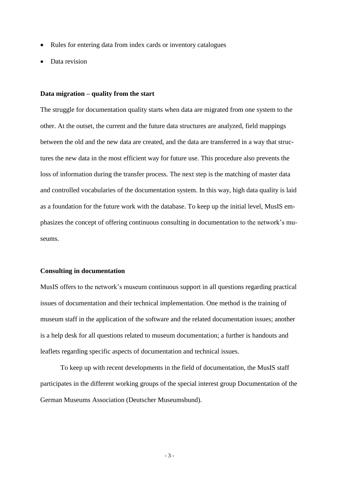- Rules for entering data from index cards or inventory catalogues
- Data revision

#### **Data migration – quality from the start**

The struggle for documentation quality starts when data are migrated from one system to the other. At the outset, the current and the future data structures are analyzed, field mappings between the old and the new data are created, and the data are transferred in a way that structures the new data in the most efficient way for future use. This procedure also prevents the loss of information during the transfer process. The next step is the matching of master data and controlled vocabularies of the documentation system. In this way, high data quality is laid as a foundation for the future work with the database. To keep up the initial level, MusIS emphasizes the concept of offering continuous consulting in documentation to the network's museums.

## **Consulting in documentation**

MusIS offers to the network's museum continuous support in all questions regarding practical issues of documentation and their technical implementation. One method is the training of museum staff in the application of the software and the related documentation issues; another is a help desk for all questions related to museum documentation; a further is handouts and leaflets regarding specific aspects of documentation and technical issues.

To keep up with recent developments in the field of documentation, the MusIS staff participates in the different working groups of the special interest group Documentation of the German Museums Association (Deutscher Museumsbund).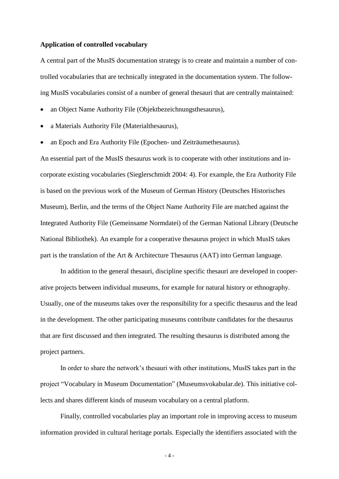## **Application of controlled vocabulary**

A central part of the MusIS documentation strategy is to create and maintain a number of controlled vocabularies that are technically integrated in the documentation system. The following MusIS vocabularies consist of a number of general thesauri that are centrally maintained:

- an Object Name Authority File (Objektbezeichnungsthesaurus),
- a Materials Authority File (Materialthesaurus),
- an Epoch and Era Authority File (Epochen- und Zeiträumethesaurus).

An essential part of the MusIS thesaurus work is to cooperate with other institutions and incorporate existing vocabularies (Sieglerschmidt 2004: 4). For example, the Era Authority File is based on the previous work of the Museum of German History (Deutsches Historisches Museum), Berlin, and the terms of the Object Name Authority File are matched against the Integrated Authority File (Gemeinsame Normdatei) of the German National Library (Deutsche National Bibliothek). An example for a cooperative thesaurus project in which MusIS takes part is the translation of the Art & Architecture Thesaurus (AAT) into German language.

In addition to the general thesauri, discipline specific thesauri are developed in cooperative projects between individual museums, for example for natural history or ethnography. Usually, one of the museums takes over the responsibility for a specific thesaurus and the lead in the development. The other participating museums contribute candidates for the thesaurus that are first discussed and then integrated. The resulting thesaurus is distributed among the project partners.

In order to share the network's thesauri with other institutions, MusIS takes part in the project "Vocabulary in Museum Documentation" (Museumsvokabular.de). This initiative collects and shares different kinds of museum vocabulary on a central platform.

Finally, controlled vocabularies play an important role in improving access to museum information provided in cultural heritage portals. Especially the identifiers associated with the

- 4 -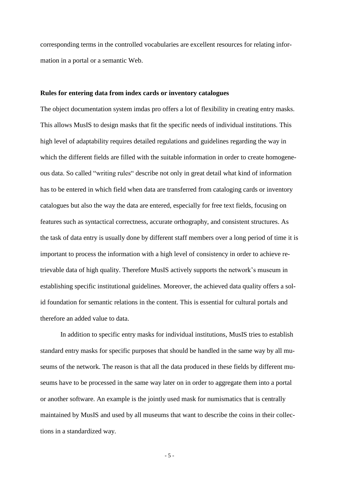corresponding terms in the controlled vocabularies are excellent resources for relating information in a portal or a semantic Web.

#### **Rules for entering data from index cards or inventory catalogues**

The object documentation system imdas pro offers a lot of flexibility in creating entry masks. This allows MusIS to design masks that fit the specific needs of individual institutions. This high level of adaptability requires detailed regulations and guidelines regarding the way in which the different fields are filled with the suitable information in order to create homogeneous data. So called "writing rules" describe not only in great detail what kind of information has to be entered in which field when data are transferred from cataloging cards or inventory catalogues but also the way the data are entered, especially for free text fields, focusing on features such as syntactical correctness, accurate orthography, and consistent structures. As the task of data entry is usually done by different staff members over a long period of time it is important to process the information with a high level of consistency in order to achieve retrievable data of high quality. Therefore MusIS actively supports the network's museum in establishing specific institutional guidelines. Moreover, the achieved data quality offers a solid foundation for semantic relations in the content. This is essential for cultural portals and therefore an added value to data.

In addition to specific entry masks for individual institutions, MusIS tries to establish standard entry masks for specific purposes that should be handled in the same way by all museums of the network. The reason is that all the data produced in these fields by different museums have to be processed in the same way later on in order to aggregate them into a portal or another software. An example is the jointly used mask for numismatics that is centrally maintained by MusIS and used by all museums that want to describe the coins in their collections in a standardized way.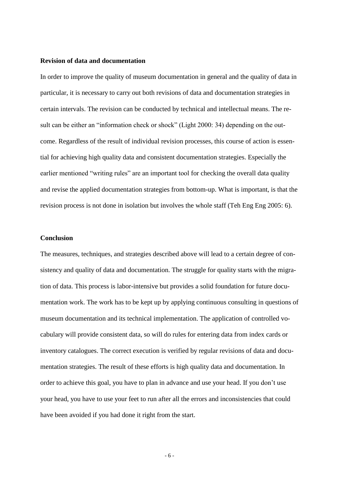# **Revision of data and documentation**

In order to improve the quality of museum documentation in general and the quality of data in particular, it is necessary to carry out both revisions of data and documentation strategies in certain intervals. The revision can be conducted by technical and intellectual means. The result can be either an "information check or shock" (Light 2000: 34) depending on the outcome. Regardless of the result of individual revision processes, this course of action is essential for achieving high quality data and consistent documentation strategies. Especially the earlier mentioned "writing rules" are an important tool for checking the overall data quality and revise the applied documentation strategies from bottom-up. What is important, is that the revision process is not done in isolation but involves the whole staff (Teh Eng Eng 2005: 6).

#### **Conclusion**

The measures, techniques, and strategies described above will lead to a certain degree of consistency and quality of data and documentation. The struggle for quality starts with the migration of data. This process is labor-intensive but provides a solid foundation for future documentation work. The work has to be kept up by applying continuous consulting in questions of museum documentation and its technical implementation. The application of controlled vocabulary will provide consistent data, so will do rules for entering data from index cards or inventory catalogues. The correct execution is verified by regular revisions of data and documentation strategies. The result of these efforts is high quality data and documentation. In order to achieve this goal, you have to plan in advance and use your head. If you don't use your head, you have to use your feet to run after all the errors and inconsistencies that could have been avoided if you had done it right from the start.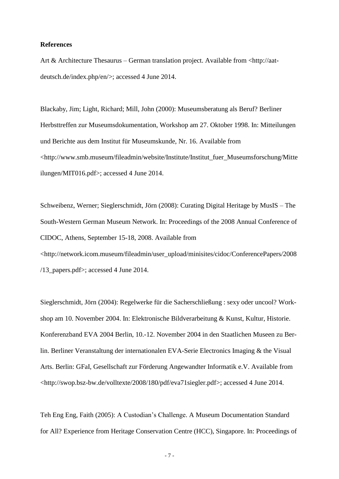## **References**

Art & Architecture Thesaurus – German translation project. Available from <http://aatdeutsch.de/index.php/en/>; accessed 4 June 2014.

Blackaby, Jim; Light, Richard; Mill, John (2000): Museumsberatung als Beruf? Berliner Herbsttreffen zur Museumsdokumentation, Workshop am 27. Oktober 1998. In: Mitteilungen und Berichte aus dem Institut für Museumskunde, Nr. 16. Available from <http://www.smb.museum/fileadmin/website/Institute/Institut\_fuer\_Museumsforschung/Mitte ilungen/MIT016.pdf>; accessed 4 June 2014.

Schweibenz, Werner; Sieglerschmidt, Jörn (2008): Curating Digital Heritage by MusIS – The South-Western German Museum Network. In: Proceedings of the 2008 Annual Conference of CIDOC, Athens, September 15-18, 2008. Available from <http://network.icom.museum/fileadmin/user\_upload/minisites/cidoc/ConferencePapers/2008 /13 papers.pdf>; accessed 4 June 2014.

Sieglerschmidt, Jörn (2004): Regelwerke für die Sacherschließung : sexy oder uncool? Workshop am 10. November 2004. In: Elektronische Bildverarbeitung & Kunst, Kultur, Historie. Konferenzband EVA 2004 Berlin, 10.-12. November 2004 in den Staatlichen Museen zu Berlin. Berliner Veranstaltung der internationalen EVA-Serie Electronics Imaging & the Visual Arts. Berlin: GFaI, Gesellschaft zur Förderung Angewandter Informatik e.V. Available from <http://swop.bsz-bw.de/volltexte/2008/180/pdf/eva71siegler.pdf>; accessed 4 June 2014.

Teh Eng Eng, Faith (2005): A Custodian's Challenge. A Museum Documentation Standard for All? Experience from Heritage Conservation Centre (HCC), Singapore. In: Proceedings of